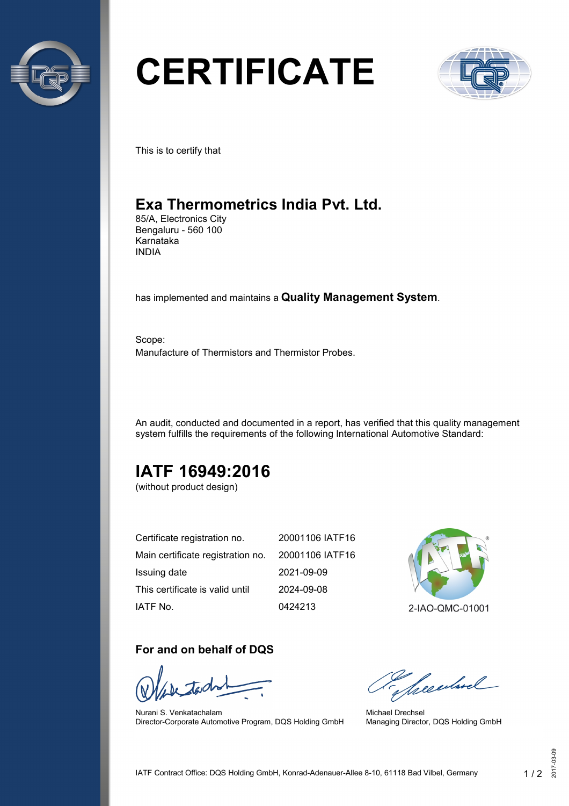

# **CERTIFICATE**



This is to certify that

## **Exa Thermometrics India Pvt. Ltd.**

85/A, Electronics City Bengaluru - 560 100 Karnataka INDIA

has implemented and maintains a **Quality Management System**.

Scope: Manufacture of Thermistors and Thermistor Probes.

An audit, conducted and documented in a report, has verified that this quality management system fulfills the requirements of the following International Automotive Standard:

# **IATF 16949:2016**

(without product design)

| Certificate registration no.                      | 20001106 IATF16 |
|---------------------------------------------------|-----------------|
| Main certificate registration no. 20001106 IATF16 |                 |
| Issuing date                                      | 2021-09-09      |
| This certificate is valid until                   | 2024-09-08      |
| IATF No.                                          | 0424213         |



#### **For and on behalf of DQS**

Nurani S. Venkatachalam Director-Corporate Automotive Program, DQS Holding GmbH

Seculard

Michael Drechsel Managing Director, DQS Holding GmbH